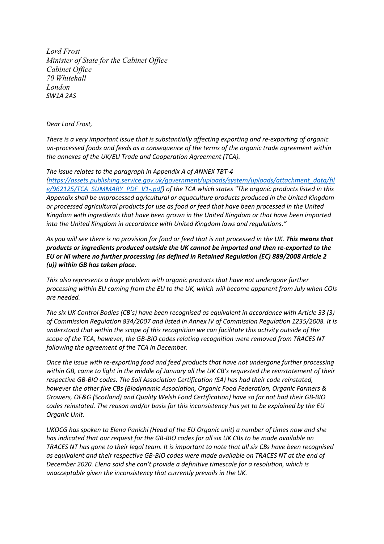*Lord Frost Minister of State for the Cabinet Office Cabinet Office 70 Whitehall London SW1A 2AS*

## *Dear Lord Frost,*

*There is a very important issue that is substantially affecting exporting and re-exporting of organic un-processed foods and feeds as a consequence of the terms of the organic trade agreement within the annexes of the UK/EU Trade and Cooperation Agreement (TCA).*

## *The issue relates to the paragraph in Appendix A of ANNEX TBT-4*

*(https://assets.publishing.service.gov.uk/government/uploads/system/uploads/attachment\_data/fil e/962125/TCA\_SUMMARY\_PDF\_V1-.pdf) of the TCA which states "The organic products listed in this Appendix shall be unprocessed agricultural or aquaculture products produced in the United Kingdom or processed agricultural products for use as food or feed that have been processed in the United Kingdom with ingredients that have been grown in the United Kingdom or that have been imported into the United Kingdom in accordance with United Kingdom laws and regulations."*

*As you will see there is no provision for food or feed that is not processed in the UK. This means that products or ingredients produced outside the UK cannot be imported and then re-exported to the EU or NI where no further processing (as defined in Retained Regulation (EC) 889/2008 Article 2 (u)) within GB has taken place.*

*This also represents a huge problem with organic products that have not undergone further processing within EU coming from the EU to the UK, which will become apparent from July when COIs are needed.*

*The six UK Control Bodies (CB's) have been recognised as equivalent in accordance with Article 33 (3) of Commission Regulation 834/2007 and listed in Annex IV of Commission Regulation 1235/2008. It is understood that within the scope of this recognition we can facilitate this activity outside of the scope of the TCA, however, the GB-BIO codes relating recognition were removed from TRACES NT following the agreement of the TCA in December.*

*Once the issue with re-exporting food and feed products that have not undergone further processing within GB, came to light in the middle of January all the UK CB's requested the reinstatement of their respective GB-BIO codes. The Soil Association Certification (SA) has had their code reinstated, however the other five CBs (Biodynamic Association, Organic Food Federation, Organic Farmers & Growers, OF&G (Scotland) and Quality Welsh Food Certification) have so far not had their GB-BIO codes reinstated. The reason and/or basis for this inconsistency has yet to be explained by the EU Organic Unit.*

*UKOCG has spoken to Elena Panichi (Head of the EU Organic unit) a number of times now and she has indicated that our request for the GB-BIO codes for all six UK CBs to be made available on TRACES NT has gone to their legal team. It is important to note that all six CBs have been recognised as equivalent and their respective GB-BIO codes were made available on TRACES NT at the end of December 2020. Elena said she can't provide a definitive timescale for a resolution, which is unacceptable given the inconsistency that currently prevails in the UK.*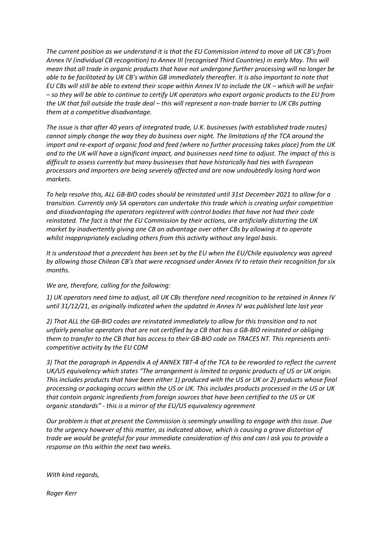*The current position as we understand it is that the EU Commission intend to move all UK CB's from Annex IV (individual CB recognition) to Annex III (recognised Third Countries) in early May. This will mean that all trade in organic products that have not undergone further processing will no longer be able to be facilitated by UK CB's within GB immediately thereafter. It is also important to note that EU CBs will still be able to extend their scope within Annex IV to include the UK – which will be unfair – so they will be able to continue to certify UK operators who export organic products to the EU from the UK that fall outside the trade deal – this will represent a non-trade barrier to UK CBs putting them at a competitive disadvantage.*

*The issue is that after 40 years of integrated trade, U.K. businesses (with established trade routes) cannot simply change the way they do business over night. The limitations of the TCA around the import and re-export of organic food and feed (where no further processing takes place) from the UK and to the UK will have a significant impact, and businesses need time to adjust. The impact of this is difficult to assess currently but many businesses that have historically had ties with European processors and importers are being severely affected and are now undoubtedly losing hard won markets.*

*To help resolve this, ALL GB-BIO codes should be reinstated until 31st December 2021 to allow for a transition. Currently only SA operators can undertake this trade which is creating unfair competition and disadvantaging the operators registered with control bodies that have not had their code reinstated. The fact is that the EU Commission by their actions, are artificially distorting the UK market by inadvertently giving one CB an advantage over other CBs by allowing it to operate whilst inappropriately excluding others from this activity without any legal basis.*

*It is understood that a precedent has been set by the EU when the EU/Chile equivalency was agreed by allowing those Chilean CB's that were recognised under Annex IV to retain their recognition for six months.*

## *We are, therefore, calling for the following:*

*1) UK operators need time to adjust, all UK CBs therefore need recognition to be retained in Annex IV until 31/12/21, as originally indicated when the updated in Annex IV was published late last year*

*2) That ALL the GB-BIO codes are reinstated immediately to allow for this transition and to not unfairly penalise operators that are not certified by a CB that has a GB-BIO reinstated or obliging them to transfer to the CB that has access to their GB-BIO code on TRACES NT. This represents anticompetitive activity by the EU COM*

*3) That the paragraph in Appendix A of ANNEX TBT-4 of the TCA to be reworded to reflect the current UK/US equivalency which states "The arrangement is limited to organic products of US or UK origin. This includes products that have been either 1) produced with the US or UK or 2) products whose final processing or packaging occurs within the US or UK. This includes products processed in the US or UK that contain organic ingredients from foreign sources that have been certified to the US or UK organic standards" - this is a mirror of the EU/US equivalency agreement*

*Our problem is that at present the Commission is seemingly unwilling to engage with this issue. Due to the urgency however of this matter, as indicated above, which is causing a grave distortion of trade we would be grateful for your immediate consideration of this and can I ask you to provide a response on this within the next two weeks.*

*With kind regards,*

*Roger Kerr*